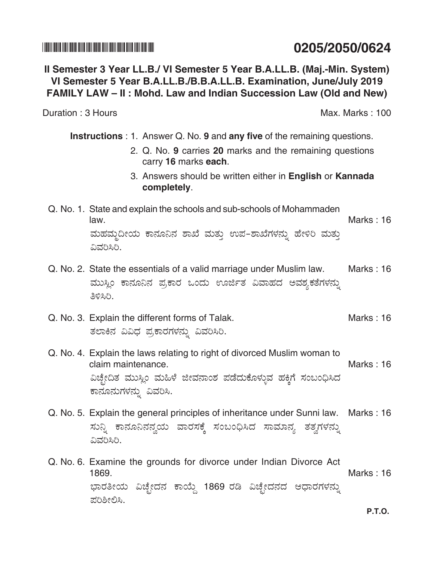## 

## Il Semester 3 Year LL.B./ VI Semester 5 Year B.A.LL.B. (Maj.-Min. System) VI Semester 5 Year B.A.LL.B./B.B.A.LL.B. Examination, June/July 2019 FAMILY LAW – II: Mohd. Law and Indian Succession Law (Old and New)

Duration: 3 Hours

**Instructions**: 1. Answer Q. No. 9 and any five of the remaining questions.

- 2. Q. No. 9 carries 20 marks and the remaining questions carry 16 marks each.
- 3. Answers should be written either in English or Kannada completely.
- Q. No. 1. State and explain the schools and sub-schools of Mohammaden Marks: 16 law. ಮಹಮ್ಮದೀಯ ಕಾನೂನಿನ ಶಾಖೆ ಮತ್ತು ಉಪ-ಶಾಖೆಗಳನ್ನು ಹೇಳಿರಿ ಮತ್ತು ವಿವರಿಸಿರಿ.
- Q. No. 2. State the essentials of a valid marriage under Muslim law. Marks: 16 ಮುಸ್ಲಿಂ ಕಾನೂನಿನ ಪ್ರಕಾರ ಒಂದು ಊರ್ಜಿತ ವಿವಾಹದ ಅವಶ್ಯಕತೆಗಳನ್ನು ತಿಳಿಸಿಗಿ.
- Q. No. 3. Explain the different forms of Talak. Marks: 16 ತಲಾಕಿನ ವಿವಿಧ ಪ್ರಕಾರಗಳನ್ನು ವಿವರಿಸಿರಿ.
- Q. No. 4. Explain the laws relating to right of divorced Muslim woman to claim maintenance. Marks: 16 ವಿಚ್ಛೇದಿತ ಮುಸ್ಲಿಂ ಮಹಿಳೆ ಜೀವನಾಂಶ ಪಡೆದುಕೊಳ್ಳುವ ಹಕ್ಕಿಗೆ ಸಂಬಂಧಿಸಿದ ಕಾನೂನುಗಳನ್ನು ವಿವರಿಸಿ.
- Q. No. 5. Explain the general principles of inheritance under Sunni law. Marks: 16 ಸುನ್ನಿ ಕಾನೂನಿನನ್ವಯ ವಾರಸಕ್ಕೆ ಸಂಬಂಧಿಸಿದ ಸಾಮಾನ್ಯ ತತ್ವಗಳನ್ನು ವಿವರಿಸಿರಿ.
- Q. No. 6. Examine the grounds for divorce under Indian Divorce Act 1869. Marks: 16 ಭಾರತೀಯ ವಿಚ್ಛೇದನ ಕಾಯ್ದೆ 1869 ರಡಿ ವಿಚ್ಛೇದನದ ಆಧಾರಗಳನ್ನು ಪರಿಶೀಲಿಸಿ.

0205/2050/0624

Max. Marks: 100